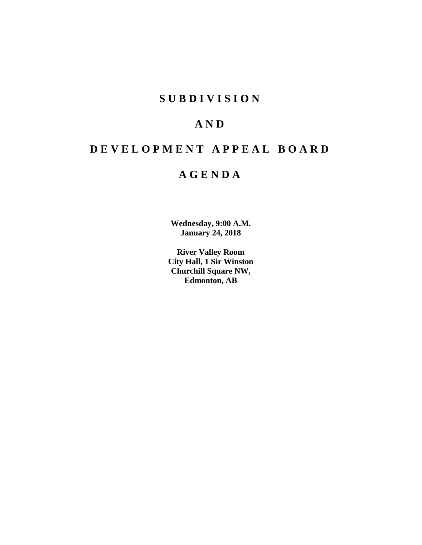## **S U B D I V I S I O N**

## **A N D**

# **D E V E L O P M E N T A P P E A L B O A R D**

## **A G E N D A**

**Wednesday, 9:00 A.M. January 24, 2018**

**River Valley Room City Hall, 1 Sir Winston Churchill Square NW, Edmonton, AB**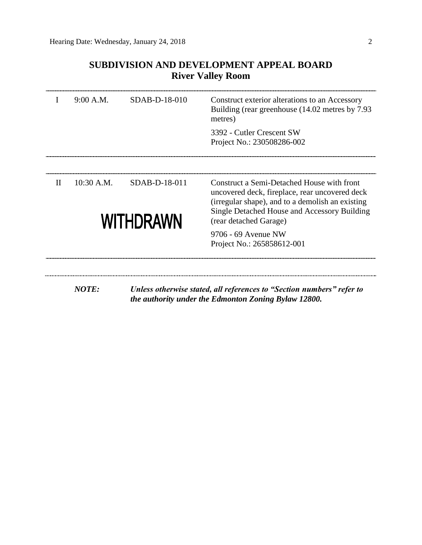|              | 9:00 A.M.    | SDAB-D-18-010              | Construct exterior alterations to an Accessory<br>Building (rear greenhouse (14.02 metres by 7.93)<br>metres)                                                                                                              |
|--------------|--------------|----------------------------|----------------------------------------------------------------------------------------------------------------------------------------------------------------------------------------------------------------------------|
|              |              |                            | 3392 - Cutler Crescent SW<br>Project No.: 230508286-002                                                                                                                                                                    |
|              |              |                            |                                                                                                                                                                                                                            |
| $\mathbf{I}$ | $10:30$ A.M. | SDAB-D-18-011<br>WITHDRAWN | Construct a Semi-Detached House with front<br>uncovered deck, fireplace, rear uncovered deck<br>(irregular shape), and to a demolish an existing<br>Single Detached House and Accessory Building<br>(rear detached Garage) |
|              |              |                            | 9706 - 69 Avenue NW<br>Project No.: 265858612-001                                                                                                                                                                          |

## **SUBDIVISION AND DEVELOPMENT APPEAL BOARD River Valley Room**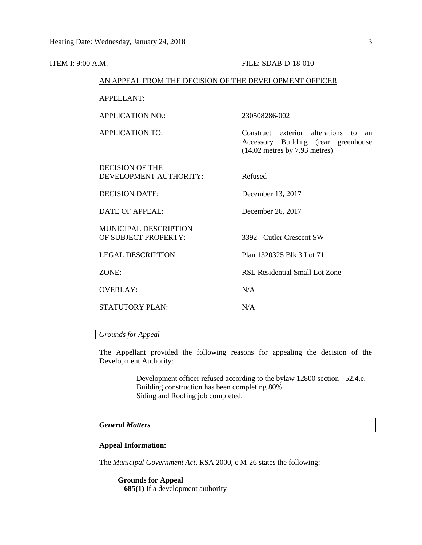| <b>ITEM I: 9:00 A.M.</b> |                                                        | FILE: SDAB-D-18-010                                                                                                             |
|--------------------------|--------------------------------------------------------|---------------------------------------------------------------------------------------------------------------------------------|
|                          | AN APPEAL FROM THE DECISION OF THE DEVELOPMENT OFFICER |                                                                                                                                 |
|                          | <b>APPELLANT:</b>                                      |                                                                                                                                 |
|                          | <b>APPLICATION NO.:</b>                                | 230508286-002                                                                                                                   |
|                          | <b>APPLICATION TO:</b>                                 | Construct exterior alterations<br>$\mathsf{to}$<br>an<br>Accessory Building (rear greenhouse<br>$(14.02$ metres by 7.93 metres) |
|                          | <b>DECISION OF THE</b><br>DEVELOPMENT AUTHORITY:       | Refused                                                                                                                         |
|                          | <b>DECISION DATE:</b>                                  | December 13, 2017                                                                                                               |
|                          | <b>DATE OF APPEAL:</b>                                 | December 26, 2017                                                                                                               |
|                          | <b>MUNICIPAL DESCRIPTION</b><br>OF SUBJECT PROPERTY:   | 3392 - Cutler Crescent SW                                                                                                       |
|                          | <b>LEGAL DESCRIPTION:</b>                              | Plan 1320325 Blk 3 Lot 71                                                                                                       |
|                          | ZONE:                                                  | RSL Residential Small Lot Zone                                                                                                  |
|                          | <b>OVERLAY:</b>                                        | N/A                                                                                                                             |
|                          | STATUTORY PLAN:                                        | N/A                                                                                                                             |
|                          |                                                        |                                                                                                                                 |

## *Grounds for Appeal*

The Appellant provided the following reasons for appealing the decision of the Development Authority:

> Development officer refused according to the bylaw 12800 section - 52.4.e. Building construction has been completing 80%. Siding and Roofing job completed.

## *General Matters*

### **Appeal Information:**

The *Municipal Government Act*, RSA 2000, c M-26 states the following:

**Grounds for Appeal 685(1)** If a development authority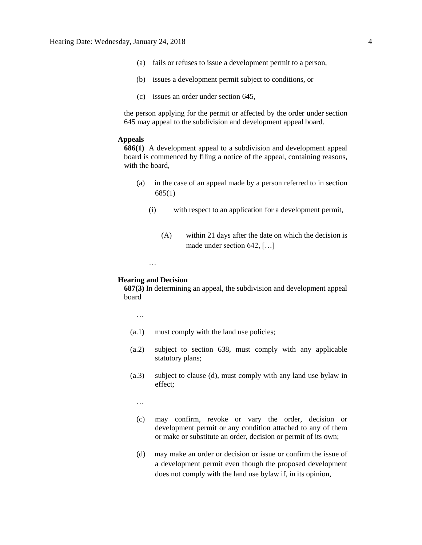- (a) fails or refuses to issue a development permit to a person,
- (b) issues a development permit subject to conditions, or
- (c) issues an order under section 645,

the person applying for the permit or affected by the order under section 645 may appeal to the subdivision and development appeal board.

## **Appeals**

**686(1)** A development appeal to a subdivision and development appeal board is commenced by filing a notice of the appeal, containing reasons, with the board,

- (a) in the case of an appeal made by a person referred to in section 685(1)
	- (i) with respect to an application for a development permit,
		- (A) within 21 days after the date on which the decision is made under section 642, […]

#### …

### **Hearing and Decision**

**687(3)** In determining an appeal, the subdivision and development appeal board

…

- (a.1) must comply with the land use policies;
- (a.2) subject to section 638, must comply with any applicable statutory plans;
- (a.3) subject to clause (d), must comply with any land use bylaw in effect;

…

- (c) may confirm, revoke or vary the order, decision or development permit or any condition attached to any of them or make or substitute an order, decision or permit of its own;
- (d) may make an order or decision or issue or confirm the issue of a development permit even though the proposed development does not comply with the land use bylaw if, in its opinion,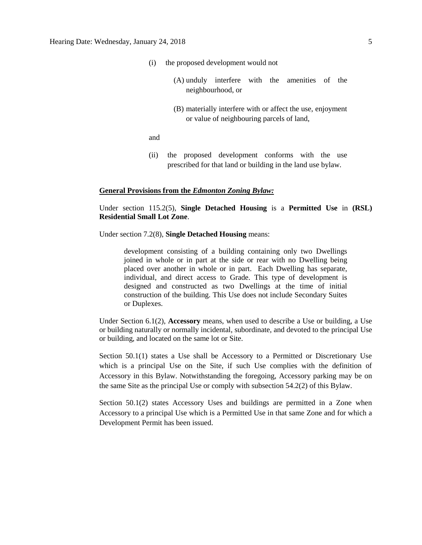- (i) the proposed development would not
	- (A) unduly interfere with the amenities of the neighbourhood, or
	- (B) materially interfere with or affect the use, enjoyment or value of neighbouring parcels of land,

and

(ii) the proposed development conforms with the use prescribed for that land or building in the land use bylaw.

### **General Provisions from the** *Edmonton Zoning Bylaw:*

Under section 115.2(5), **Single Detached Housing** is a **Permitted Use** in **(RSL) Residential Small Lot Zone**.

Under section 7.2(8), **Single Detached Housing** means:

development consisting of a building containing only two Dwellings joined in whole or in part at the side or rear with no Dwelling being placed over another in whole or in part. Each Dwelling has separate, individual, and direct access to Grade. This type of development is designed and constructed as two Dwellings at the time of initial construction of the building. This Use does not include Secondary Suites or Duplexes.

Under Section 6.1(2), **Accessory** means, when used to describe a Use or building, a Use or building naturally or normally incidental, subordinate, and devoted to the principal Use or building, and located on the same lot or Site.

Section 50.1(1) states a Use shall be Accessory to a Permitted or Discretionary Use which is a principal Use on the Site, if such Use complies with the definition of Accessory in this Bylaw. Notwithstanding the foregoing, Accessory parking may be on the same Site as the principal Use or comply with subsection 54.2(2) of this Bylaw.

Section 50.1(2) states Accessory Uses and buildings are permitted in a Zone when Accessory to a principal Use which is a Permitted Use in that same Zone and for which a Development Permit has been issued.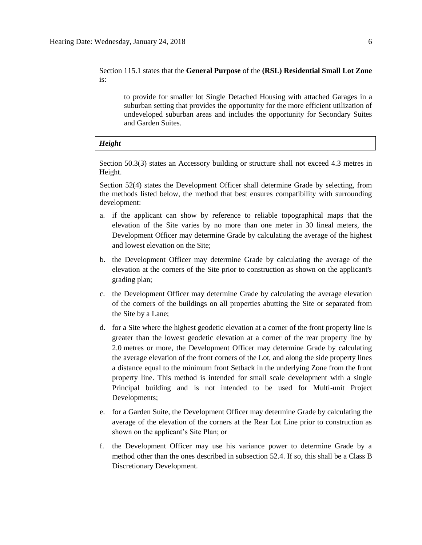Section 115.1 states that the **General Purpose** of the **(RSL) Residential Small Lot Zone**  is:

to provide for smaller lot Single Detached Housing with attached Garages in a suburban setting that provides the opportunity for the more efficient utilization of undeveloped suburban areas and includes the opportunity for Secondary Suites and Garden Suites.

#### *Height*

Section 50.3(3) states an Accessory building or structure shall not exceed 4.3 metres in Height.

Section 52(4) states the Development Officer shall determine Grade by selecting, from the methods listed below, the method that best ensures compatibility with surrounding development:

- a. if the applicant can show by reference to reliable topographical maps that the elevation of the Site varies by no more than one meter in 30 lineal meters, the Development Officer may determine Grade by calculating the average of the highest and lowest elevation on the Site;
- b. the Development Officer may determine Grade by calculating the average of the elevation at the corners of the Site prior to construction as shown on the applicant's grading plan;
- c. the Development Officer may determine Grade by calculating the average elevation of the corners of the buildings on all properties abutting the Site or separated from the Site by a Lane;
- d. for a Site where the highest geodetic elevation at a corner of the front property line is greater than the lowest geodetic elevation at a corner of the rear property line by 2.0 metres or more, the Development Officer may determine Grade by calculating the average elevation of the front corners of the Lot, and along the side property lines a distance equal to the minimum front Setback in the underlying Zone from the front property line. This method is intended for small scale development with a single Principal building and is not intended to be used for Multi-unit Project Developments;
- e. for a Garden Suite, the Development Officer may determine Grade by calculating the average of the elevation of the corners at the Rear Lot Line prior to construction as shown on the applicant's Site Plan; or
- f. the Development Officer may use his variance power to determine Grade by a method other than the ones described in subsection 52.4. If so, this shall be a Class B Discretionary Development.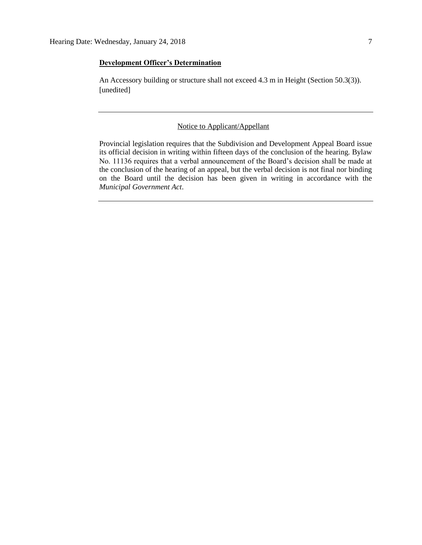## **Development Officer's Determination**

An Accessory building or structure shall not exceed 4.3 m in Height (Section 50.3(3)). [unedited]

## Notice to Applicant/Appellant

Provincial legislation requires that the Subdivision and Development Appeal Board issue its official decision in writing within fifteen days of the conclusion of the hearing. Bylaw No. 11136 requires that a verbal announcement of the Board's decision shall be made at the conclusion of the hearing of an appeal, but the verbal decision is not final nor binding on the Board until the decision has been given in writing in accordance with the *Municipal Government Act*.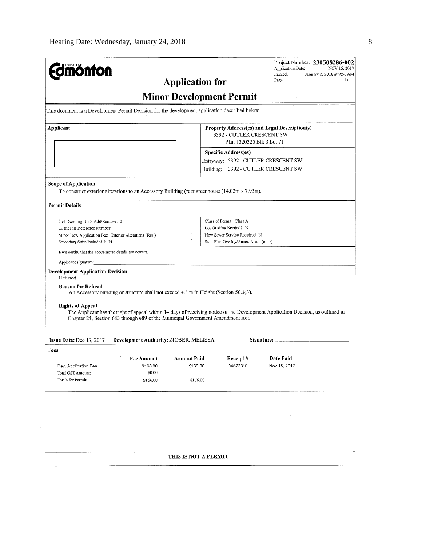| <b>nonfon</b>                                                                                                                                                                                                                                                                                                                                                                                                | <b>Application for</b>                     |                                                                                                                                                                                                                      | Application Date:<br>Printed:<br>Page: | Project Number: 230508286-002<br>NOV 15, 2017<br>January 2, 2018 at 9:56 AM<br>1 of 1 |
|--------------------------------------------------------------------------------------------------------------------------------------------------------------------------------------------------------------------------------------------------------------------------------------------------------------------------------------------------------------------------------------------------------------|--------------------------------------------|----------------------------------------------------------------------------------------------------------------------------------------------------------------------------------------------------------------------|----------------------------------------|---------------------------------------------------------------------------------------|
|                                                                                                                                                                                                                                                                                                                                                                                                              | <b>Minor Development Permit</b>            |                                                                                                                                                                                                                      |                                        |                                                                                       |
| This document is a Development Permit Decision for the development application described below.                                                                                                                                                                                                                                                                                                              |                                            |                                                                                                                                                                                                                      |                                        |                                                                                       |
| Applicant                                                                                                                                                                                                                                                                                                                                                                                                    |                                            | Property Address(es) and Legal Description(s)<br>3392 - CUTLER CRESCENT SW<br>Plan 1320325 Blk 3 Lot 71<br><b>Specific Address(es)</b><br>Entryway: 3392 - CUTLER CRESCENT SW<br>Building: 3392 - CUTLER CRESCENT SW |                                        |                                                                                       |
| <b>Scope of Application</b><br>To construct exterior alterations to an Accessory Building (rear greenhouse (14.02m x 7.93m).                                                                                                                                                                                                                                                                                 |                                            |                                                                                                                                                                                                                      |                                        |                                                                                       |
| <b>Permit Details</b>                                                                                                                                                                                                                                                                                                                                                                                        |                                            |                                                                                                                                                                                                                      |                                        |                                                                                       |
| # of Dwelling Units Add/Remove: 0<br>Client File Reference Number:<br>Minor Dev. Application Fee: Exterior Alterations (Res.)<br>Secondary Suite Included ?: N                                                                                                                                                                                                                                               |                                            | Class of Permit: Class A<br>Lot Grading Needed?: N<br>New Sewer Service Required: N<br>Stat. Plan Overlay/Annex Area: (none)                                                                                         |                                        |                                                                                       |
| I/We certify that the above noted details are correct.                                                                                                                                                                                                                                                                                                                                                       |                                            |                                                                                                                                                                                                                      |                                        |                                                                                       |
| Applicant signature;<br><b>Development Application Decision</b><br>Refused<br><b>Reason for Refusal</b>                                                                                                                                                                                                                                                                                                      |                                            |                                                                                                                                                                                                                      |                                        |                                                                                       |
| An Accessory building or structure shall not exceed 4.3 m in Height (Section 50.3(3).<br><b>Rights of Appeal</b><br>The Applicant has the right of appeal within 14 days of receiving notice of the Development Application Decision, as outlined in<br>Chapter 24, Section 683 through 689 of the Municipal Government Amendment Act.<br>Issue Date: Dec 13, 2017<br>Development Authority: ZIOBER, MELISSA |                                            |                                                                                                                                                                                                                      | Signature:                             |                                                                                       |
| Fees                                                                                                                                                                                                                                                                                                                                                                                                         |                                            |                                                                                                                                                                                                                      |                                        |                                                                                       |
| <b>Fee Amount</b><br>Dev. Application Fee<br>\$166.00<br>\$0.00<br>Total GST Amount:<br><b>Totals for Permit:</b><br>\$166.00                                                                                                                                                                                                                                                                                | <b>Amount Paid</b><br>\$166.00<br>\$166.00 | Receipt#<br>04623310                                                                                                                                                                                                 | <b>Date Paid</b><br>Nov 15, 2017       |                                                                                       |
|                                                                                                                                                                                                                                                                                                                                                                                                              |                                            |                                                                                                                                                                                                                      |                                        |                                                                                       |
|                                                                                                                                                                                                                                                                                                                                                                                                              |                                            |                                                                                                                                                                                                                      |                                        |                                                                                       |
|                                                                                                                                                                                                                                                                                                                                                                                                              |                                            |                                                                                                                                                                                                                      |                                        |                                                                                       |
|                                                                                                                                                                                                                                                                                                                                                                                                              |                                            |                                                                                                                                                                                                                      |                                        |                                                                                       |
|                                                                                                                                                                                                                                                                                                                                                                                                              | THIS IS NOT A PERMIT                       |                                                                                                                                                                                                                      |                                        |                                                                                       |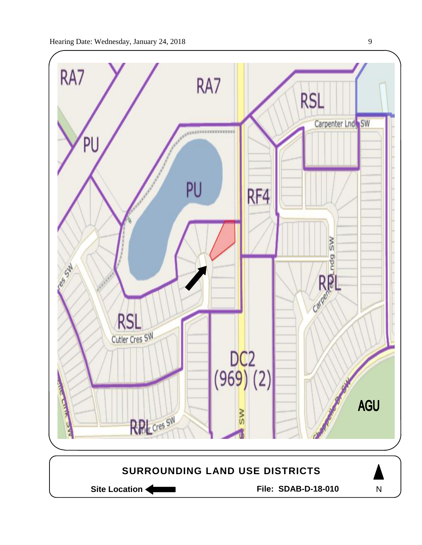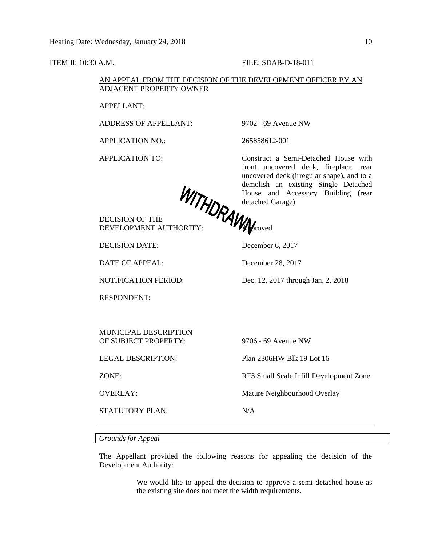### ITEM II: 10:30 A.M. FILE: SDAB-D-18-011

## AN APPEAL FROM THE DECISION OF THE DEVELOPMENT OFFICER BY AN ADJACENT PROPERTY OWNER

APPELLANT:

ADDRESS OF APPELLANT: 9702 - 69 Avenue NW

APPLICATION NO.: 265858612-001

APPLICATION TO: Construct a Semi-Detached House with front uncovered deck, fireplace, rear uncovered deck (irregular shape), and to a demolish an existing Single Detached House and Accessory Building (rear detached Garage)

DECISION OF THE DEVELOPMENT AUTHORITY: **Approved** 

DECISION DATE: December 6, 2017

DATE OF APPEAL: December 28, 2017

NOTIFICATION PERIOD: Dec. 12, 2017 through Jan. 2, 2018

RESPONDENT:

MUNICIPAL DESCRIPTION OF SUBJECT PROPERTY: 9706 - 69 Avenue NW

STATUTORY PLAN: N/A

LEGAL DESCRIPTION: Plan 2306HW Blk 19 Lot 16

ZONE: RF3 Small Scale Infill Development Zone

OVERLAY: Mature Neighbourhood Overlay

*Grounds for Appeal*

The Appellant provided the following reasons for appealing the decision of the Development Authority:

> We would like to appeal the decision to approve a semi-detached house as the existing site does not meet the width requirements.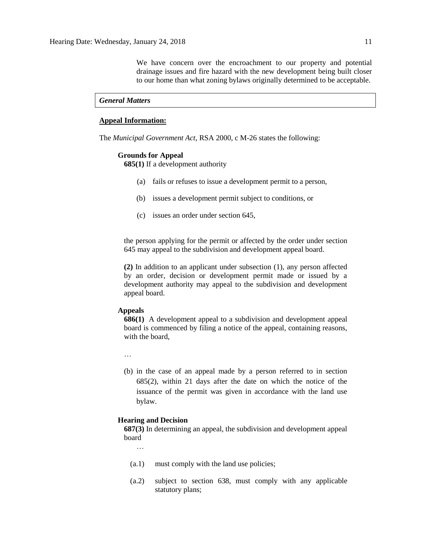We have concern over the encroachment to our property and potential drainage issues and fire hazard with the new development being built closer to our home than what zoning bylaws originally determined to be acceptable.

### *General Matters*

## **Appeal Information:**

The *Municipal Government Act*, RSA 2000, c M-26 states the following:

#### **Grounds for Appeal**

**685(1)** If a development authority

- (a) fails or refuses to issue a development permit to a person,
- (b) issues a development permit subject to conditions, or
- (c) issues an order under section 645,

the person applying for the permit or affected by the order under section 645 may appeal to the subdivision and development appeal board.

**(2)** In addition to an applicant under subsection (1), any person affected by an order, decision or development permit made or issued by a development authority may appeal to the subdivision and development appeal board.

## **Appeals**

**686(1)** A development appeal to a subdivision and development appeal board is commenced by filing a notice of the appeal, containing reasons, with the board,

…

(b) in the case of an appeal made by a person referred to in section 685(2), within 21 days after the date on which the notice of the issuance of the permit was given in accordance with the land use bylaw.

### **Hearing and Decision**

**687(3)** In determining an appeal, the subdivision and development appeal board

…

- (a.1) must comply with the land use policies;
- (a.2) subject to section 638, must comply with any applicable statutory plans;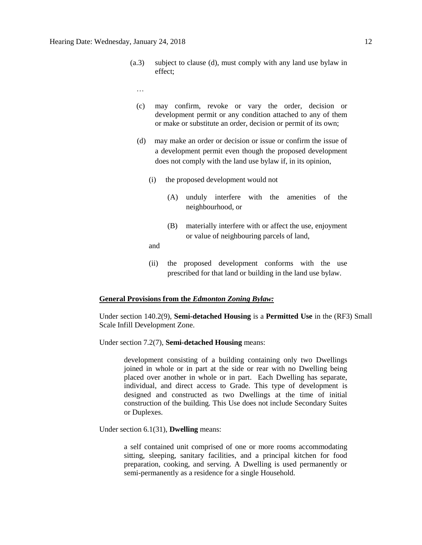- (a.3) subject to clause (d), must comply with any land use bylaw in effect;
	- …
	- (c) may confirm, revoke or vary the order, decision or development permit or any condition attached to any of them or make or substitute an order, decision or permit of its own;
	- (d) may make an order or decision or issue or confirm the issue of a development permit even though the proposed development does not comply with the land use bylaw if, in its opinion,
		- (i) the proposed development would not
			- (A) unduly interfere with the amenities of the neighbourhood, or
			- (B) materially interfere with or affect the use, enjoyment or value of neighbouring parcels of land,

and

(ii) the proposed development conforms with the use prescribed for that land or building in the land use bylaw.

## **General Provisions from the** *Edmonton Zoning Bylaw:*

Under section 140.2(9), **Semi-detached Housing** is a **Permitted Use** in the (RF3) Small Scale Infill Development Zone.

Under section 7.2(7), **Semi-detached Housing** means:

development consisting of a building containing only two Dwellings joined in whole or in part at the side or rear with no Dwelling being placed over another in whole or in part. Each Dwelling has separate, individual, and direct access to Grade. This type of development is designed and constructed as two Dwellings at the time of initial construction of the building. This Use does not include Secondary Suites or Duplexes.

Under section 6.1(31), **Dwelling** means:

a self contained unit comprised of one or more rooms accommodating sitting, sleeping, sanitary facilities, and a principal kitchen for food preparation, cooking, and serving. A Dwelling is used permanently or semi-permanently as a residence for a single Household.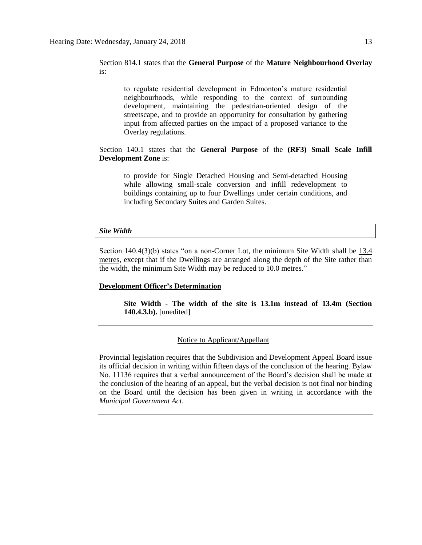Section 814.1 states that the **General Purpose** of the **Mature Neighbourhood Overlay** is:

to regulate residential development in Edmonton's mature residential neighbourhoods, while responding to the context of surrounding development, maintaining the pedestrian-oriented design of the streetscape, and to provide an opportunity for consultation by gathering input from affected parties on the impact of a proposed variance to the Overlay regulations.

Section 140.1 states that the **General Purpose** of the **(RF3) Small Scale Infill Development Zone** is:

to provide for Single Detached Housing and Semi-detached Housing while allowing small-scale conversion and infill redevelopment to buildings containing up to four Dwellings under certain conditions, and including Secondary Suites and Garden Suites.

#### *Site Width*

Section 140.4(3)(b) states "on a non-Corner Lot, the minimum Site Width shall be 13.4 metres, except that if the Dwellings are arranged along the depth of the Site rather than the width, the minimum Site Width may be reduced to 10.0 metres."

#### **Development Officer's Determination**

**Site Width - The width of the site is 13.1m instead of 13.4m (Section 140.4.3.b).** [unedited]

## Notice to Applicant/Appellant

Provincial legislation requires that the Subdivision and Development Appeal Board issue its official decision in writing within fifteen days of the conclusion of the hearing. Bylaw No. 11136 requires that a verbal announcement of the Board's decision shall be made at the conclusion of the hearing of an appeal, but the verbal decision is not final nor binding on the Board until the decision has been given in writing in accordance with the *Municipal Government Act*.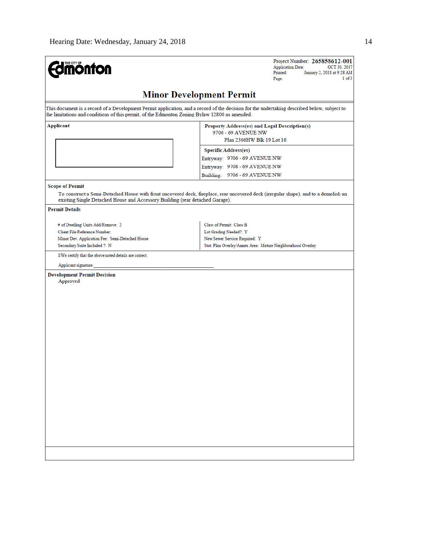| <b>Imónton</b>                                                                                          | Project Number: 265858612-001<br><b>Application Date:</b><br>OCT 30, 2017<br>Printed:<br>January 2, 2018 at 9:28 AM<br>1 of 3<br>Page:      |  |  |
|---------------------------------------------------------------------------------------------------------|---------------------------------------------------------------------------------------------------------------------------------------------|--|--|
|                                                                                                         | <b>Minor Development Permit</b>                                                                                                             |  |  |
| the limitations and conditions of this permit, of the Edmonton Zoning Bylaw 12800 as amended.           | This document is a record of a Development Permit application, and a record of the decision for the undertaking described below, subject to |  |  |
| Applicant                                                                                               | Property Address(es) and Legal Description(s)<br>9706 - 69 AVENUE NW                                                                        |  |  |
|                                                                                                         | Plan 2306HW Blk 19 Lot 16                                                                                                                   |  |  |
|                                                                                                         | <b>Specific Address(es)</b>                                                                                                                 |  |  |
|                                                                                                         | Entryway: 9706 - 69 AVENUE NW                                                                                                               |  |  |
|                                                                                                         | Entryway: 9708 - 69 AVENUE NW                                                                                                               |  |  |
|                                                                                                         | Building: 9706 - 69 AVENUE NW                                                                                                               |  |  |
| <b>Scope of Permit</b><br>existing Single Detached House and Accessory Building (rear detached Garage). | To construct a Semi-Detached House with front uncovered deck, fireplace, rear uncovered deck (irregular shape), and to a demolish an        |  |  |
| <b>Permit Details</b>                                                                                   |                                                                                                                                             |  |  |
| # of Dwelling Units Add/Remove: 2                                                                       | Class of Permit: Class B                                                                                                                    |  |  |
| Client File Reference Number:                                                                           | Lot Grading Needed?: Y                                                                                                                      |  |  |
| Minor Dev. Application Fee: Semi-Detached House                                                         | New Sewer Service Required: Y                                                                                                               |  |  |
| Secondary Suite Included ?: N                                                                           | Stat. Plan Overlay/Annex Area: Mature Neighbourhood Overlay                                                                                 |  |  |
| I/We certify that the above noted details are correct.                                                  |                                                                                                                                             |  |  |
| Applicant signature:                                                                                    |                                                                                                                                             |  |  |
| <b>Development Permit Decision</b><br>Approved                                                          |                                                                                                                                             |  |  |
|                                                                                                         |                                                                                                                                             |  |  |
|                                                                                                         |                                                                                                                                             |  |  |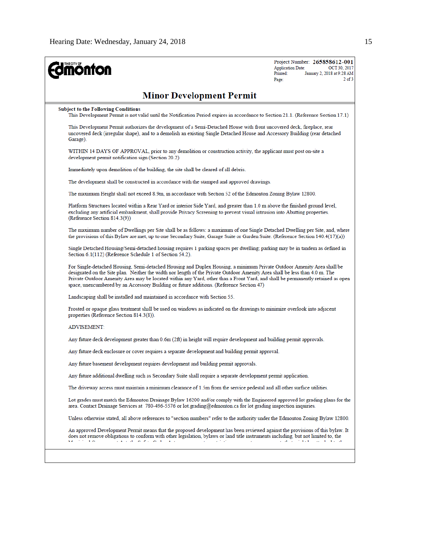| <b>monton</b>                                                                                                                                                                                                                                                                                                                                                                                                                                                                        | Project Number: 265858612-001<br><b>Application Date:</b><br>OCT 30, 2017<br>January 2, 2018 at 9:28 AM<br>Printed:<br>Page: |
|--------------------------------------------------------------------------------------------------------------------------------------------------------------------------------------------------------------------------------------------------------------------------------------------------------------------------------------------------------------------------------------------------------------------------------------------------------------------------------------|------------------------------------------------------------------------------------------------------------------------------|
| <b>Minor Development Permit</b>                                                                                                                                                                                                                                                                                                                                                                                                                                                      |                                                                                                                              |
| <b>Subject to the Following Conditions</b><br>This Development Permit is not valid until the Notification Period expires in accordance to Section 21.1. (Reference Section 17.1)                                                                                                                                                                                                                                                                                                     |                                                                                                                              |
| This Development Permit authorizes the development of a Semi-Detached House with front uncovered deck, fireplace, rear<br>uncovered deck (irregular shape), and to a demolish an existing Single Detached House and Accessory Building (rear detached<br>Garage).                                                                                                                                                                                                                    |                                                                                                                              |
| WITHIN 14 DAYS OF APPROVAL, prior to any demolition or construction activity, the applicant must post on-site a<br>development permit notification sign (Section 20.2)                                                                                                                                                                                                                                                                                                               |                                                                                                                              |
| Immediately upon demolition of the building, the site shall be cleared of all debris.                                                                                                                                                                                                                                                                                                                                                                                                |                                                                                                                              |
| The development shall be constructed in accordance with the stamped and approved drawings.                                                                                                                                                                                                                                                                                                                                                                                           |                                                                                                                              |
| The maximum Height shall not exceed 8.9m, in accordance with Section 52 of the Edmonton Zoning Bylaw 12800.                                                                                                                                                                                                                                                                                                                                                                          |                                                                                                                              |
| Platform Structures located within a Rear Yard or interior Side Yard, and greater than 1.0 m above the finished ground level,<br>excluding any artificial embankment, shall provide Privacy Screening to prevent visual intrusion into Abutting properties.<br>(Reference Section 814.3(9))                                                                                                                                                                                          |                                                                                                                              |
| The maximum number of Dwellings per Site shall be as follows: a maximum of one Single Detached Dwelling per Site, and, where<br>the provisions of this Bylaw are met, up to one Secondary Suite, Garage Suite or Garden Suite. (Reference Section 140.4(17)(a))                                                                                                                                                                                                                      |                                                                                                                              |
| Single Detached Housing/Semi-detached housing requires 1 parking spaces per dwelling; parking may be in tandem as defined in<br>Section 6.1(112) (Reference Schedule 1 of Section 54.2).                                                                                                                                                                                                                                                                                             |                                                                                                                              |
| For Single-detached Housing, Semi-detached Housing and Duplex Housing, a minimum Private Outdoor Amenity Area shall be<br>designated on the Site plan. Neither the width nor length of the Private Outdoor Amenity Area shall be less than 4.0 m. The<br>Private Outdoor Amenity Area may be located within any Yard, other than a Front Yard, and shall be permanently retained as open<br>space, unencumbered by an Accessory Building or future additions. (Reference Section 47) |                                                                                                                              |
| Landscaping shall be installed and maintained in accordance with Section 55.                                                                                                                                                                                                                                                                                                                                                                                                         |                                                                                                                              |
| Frosted or opaque glass treatment shall be used on windows as indicated on the drawings to minimize overlook into adjacent<br>properties (Reference Section 814.3(8)).                                                                                                                                                                                                                                                                                                               |                                                                                                                              |
| <b>ADVISEMENT:</b>                                                                                                                                                                                                                                                                                                                                                                                                                                                                   |                                                                                                                              |
| Any future deck development greater than 0.6m (2ft) in height will require development and building permit approvals.                                                                                                                                                                                                                                                                                                                                                                |                                                                                                                              |
| Any future deck enclosure or cover requires a separate development and building permit approval.                                                                                                                                                                                                                                                                                                                                                                                     |                                                                                                                              |
| Any future basement development requires development and building permit approvals.                                                                                                                                                                                                                                                                                                                                                                                                  |                                                                                                                              |
| Any future additional dwelling such as Secondary Suite shall require a separate development permit application.                                                                                                                                                                                                                                                                                                                                                                      |                                                                                                                              |
| The driveway access must maintain a minimum clearance of 1.5m from the service pedestal and all other surface utilities.                                                                                                                                                                                                                                                                                                                                                             |                                                                                                                              |
| Lot grades must match the Edmonton Dramage Bylaw 16200 and/or comply with the Engineered approved lot grading plans for the<br>area. Contact Drainage Services at 780-496-5576 or lot grading@edmonton.ca for lot grading inspection inquiries.                                                                                                                                                                                                                                      |                                                                                                                              |
| Unless otherwise stated, all above references to "section numbers" refer to the authority under the Edmonton Zoning Bylaw 12800.                                                                                                                                                                                                                                                                                                                                                     |                                                                                                                              |
| An approved Development Permit means that the proposed development has been reviewed against the provisions of this bylaw. It<br>does not remove obligations to conform with other legislation, bylaws or land title instruments including, but not limited to, the                                                                                                                                                                                                                  |                                                                                                                              |
|                                                                                                                                                                                                                                                                                                                                                                                                                                                                                      |                                                                                                                              |
|                                                                                                                                                                                                                                                                                                                                                                                                                                                                                      |                                                                                                                              |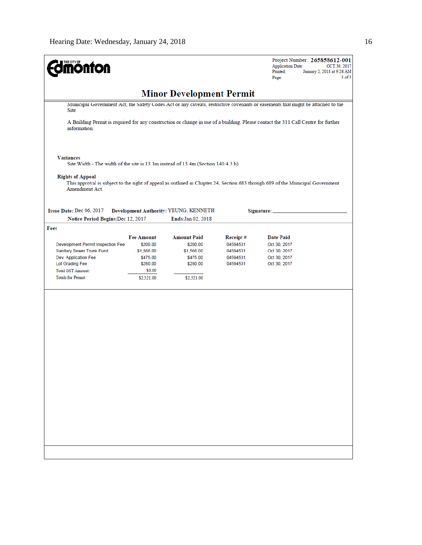| THE CITY OF<br><b>Onfon</b>                                                                           |                   |                                 |          | Project Number: 265858612-001<br><b>Application Date:</b><br>OCT 30, 2017<br>Printed:<br>January 2, 2018 at 9:28 AM<br>$3$ of $3$<br>Page: |  |
|-------------------------------------------------------------------------------------------------------|-------------------|---------------------------------|----------|--------------------------------------------------------------------------------------------------------------------------------------------|--|
|                                                                                                       |                   | <b>Minor Development Permit</b> |          |                                                                                                                                            |  |
| Site.                                                                                                 |                   |                                 |          | Municipal Government Act, the Safety Codes Act or any caveats, restrictive covenants or easements that might be attached to the            |  |
| information.                                                                                          |                   |                                 |          | A Building Permit is required for any construction or change in use of a building. Please contact the 311 Call Centre for further          |  |
| <b>Variances</b><br>Site Width - The width of the site is 13.1m instead of 13.4m (Section 140.4.3.b). |                   |                                 |          |                                                                                                                                            |  |
| <b>Rights of Appeal</b><br>Amendment Act.                                                             |                   |                                 |          | This approval is subject to the right of appeal as outlined in Chapter 24, Section 683 through 689 of the Municipal Government             |  |
| Issue Date: Dec 06, 2017<br>Development Authority: YEUNG, KENNETH<br>Signature:                       |                   |                                 |          |                                                                                                                                            |  |
| Notice Period Begins: Dec 12, 2017                                                                    |                   | <b>Ends:Jan 02, 2018</b>        |          |                                                                                                                                            |  |
| Fees                                                                                                  |                   |                                 |          |                                                                                                                                            |  |
|                                                                                                       | <b>Fee Amount</b> | <b>Amount Paid</b>              | Receipt# | <b>Date Paid</b>                                                                                                                           |  |
| Development Permit Inspection Fee                                                                     | \$200.00          | \$200.00                        | 04594531 | Oct 30, 2017                                                                                                                               |  |
| Sanitary Sewer Trunk Fund                                                                             | \$1,566.00        | \$1,566.00                      | 04594531 | Oct 30, 2017                                                                                                                               |  |
| Dev. Application Fee                                                                                  | \$475.00          | \$475.00                        | 04594531 | Oct 30, 2017                                                                                                                               |  |
| Lot Grading Fee                                                                                       | \$280.00          | \$280.00                        | 04594531 | Oct 30, 2017                                                                                                                               |  |
| <b>Total GST Amount:</b>                                                                              | \$0.00            |                                 |          |                                                                                                                                            |  |
| <b>Totals for Permit:</b>                                                                             | \$2,521.00        | \$2,521.00                      |          |                                                                                                                                            |  |
|                                                                                                       |                   |                                 |          |                                                                                                                                            |  |
|                                                                                                       |                   |                                 |          |                                                                                                                                            |  |
|                                                                                                       |                   |                                 |          |                                                                                                                                            |  |
|                                                                                                       |                   |                                 |          |                                                                                                                                            |  |
|                                                                                                       |                   |                                 |          |                                                                                                                                            |  |
|                                                                                                       |                   |                                 |          |                                                                                                                                            |  |
|                                                                                                       |                   |                                 |          |                                                                                                                                            |  |
|                                                                                                       |                   |                                 |          |                                                                                                                                            |  |
|                                                                                                       |                   |                                 |          |                                                                                                                                            |  |